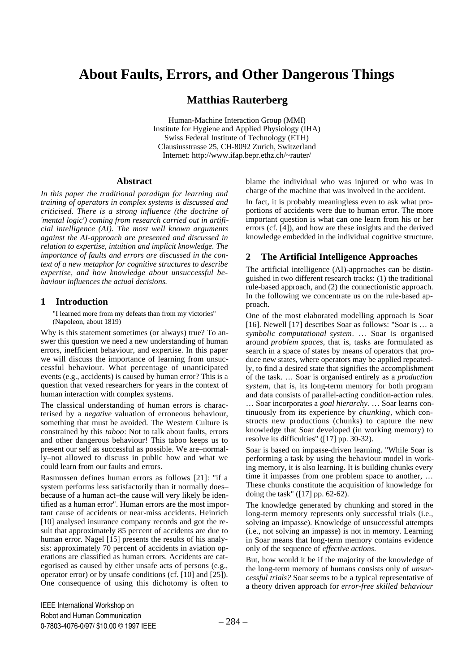### **About Faults, Errors, and Other Dangerous Things**

#### **Matthias Rauterberg**

Human-Machine Interaction Group (MMI) Institute for Hygiene and Applied Physiology (IHA) Swiss Federal Institute of Technology (ETH) Clausiusstrasse 25, CH-8092 Zurich, Switzerland Internet: http://www.ifap.bepr.ethz.ch/~rauter/

#### **Abstract**

*In this paper the traditional paradigm for learning and training of operators in complex systems is discussed and criticised. There is a strong influence (the doctrine of 'mental logic') coming from research carried out in artificial intelligence (AI). The most well known arguments against the AI-approach are presented and discussed in relation to expertise, intuition and implicit knowledge. The importance of faults and errors are discussed in the context of a new metaphor for cognitive structures to describe expertise, and how knowledge about unsuccessful behaviour influences the actual decisions.*

#### **1 Introduction**

"I learned more from my defeats than from my victories" (Napoleon, about 1819)

Why is this statement sometimes (or always) true? To answer this question we need a new understanding of human errors, inefficient behaviour, and expertise. In this paper we will discuss the importance of learning from unsuccessful behaviour. What percentage of unanticipated events (e.g., accidents) is caused by human error? This is a question that vexed researchers for years in the context of human interaction with complex systems.

The classical understanding of human errors is characterised by a *negative* valuation of erroneous behaviour, something that must be avoided. The Western Culture is constrained by this *taboo*: Not to talk about faults, errors and other dangerous behaviour! This taboo keeps us to present our self as successful as possible. We are–normally–not allowed to discuss in public how and what we could learn from our faults and errors.

Rasmussen defines human errors as follows [21]: "if a system performs less satisfactorily than it normally does– because of a human act–the cause will very likely be identified as a human error". Human errors are the most important cause of accidents or near-miss accidents. Heinrich [10] analysed insurance company records and got the result that approximately 85 percent of accidents are due to human error. Nagel [15] presents the results of his analysis: approximately 70 percent of accidents in aviation operations are classified as human errors. Accidents are categorised as caused by either unsafe acts of persons (e.g., operator error) or by unsafe conditions (cf. [10] and [25]). One consequence of using this dichotomy is often to blame the individual who was injured or who was in charge of the machine that was involved in the accident.

In fact, it is probably meaningless even to ask what proportions of accidents were due to human error. The more important question is what can one learn from his or her errors (cf. [4]), and how are these insights and the derived knowledge embedded in the individual cognitive structure.

#### **2 The Artificial Intelligence Approaches**

The artificial intelligence (AI)-approaches can be distinguished in two different research tracks: (1) the traditional rule-based approach, and (2) the connectionistic approach. In the following we concentrate us on the rule-based approach.

One of the most elaborated modelling approach is Soar [16]. Newell [17] describes Soar as follows: "Soar is … a *symbolic computational system*. … Soar is organised around *problem spaces,* that is, tasks are formulated as search in a space of states by means of operators that produce new states, where operators may be applied repeatedly, to find a desired state that signifies the accomplishment of the task. … Soar is organised entirely as a *production system,* that is, its long-term memory for both program and data consists of parallel-acting condition-action rules. … Soar incorporates a *goal hierarchy.* … Soar learns continuously from its experience by *chunking,* which constructs new productions (chunks) to capture the new knowledge that Soar developed (in working memory) to resolve its difficulties" ([17] pp. 30-32).

Soar is based on impasse-driven learning. "While Soar is performing a task by using the behaviour model in working memory, it is also learning. It is building chunks every time it impasses from one problem space to another, … These chunks constitute the acquisition of knowledge for doing the task" ([17] pp. 62-62).

The knowledge generated by chunking and stored in the long-term memory represents only successful trials (i.e., solving an impasse). Knowledge of unsuccessful attempts (i.e., not solving an impasse) is not in memory. Learning in Soar means that long-term memory contains evidence only of the sequence of *effective actions*.

But, how would it be if the majority of the knowledge of the long-term memory of humans consists only of *unsuccessful trials?* Soar seems to be a typical representative of a theory driven approach for *error-free skilled behaviour*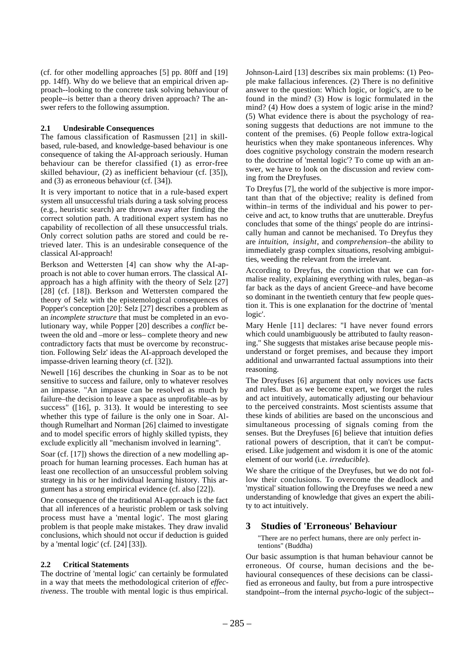(cf. for other modelling approaches [5] pp. 80ff and [19] pp. 14ff). Why do we believe that an empirical driven approach--looking to the concrete task solving behaviour of people--is better than a theory driven approach? The answer refers to the following assumption.

#### **2.1 Undesirable Consequences**

The famous classification of Rasmussen [21] in skillbased, rule-based, and knowledge-based behaviour is one consequence of taking the AI-approach seriously. Human behaviour can be therefor classified (1) as error-free skilled behaviour, (2) as inefficient behaviour (cf. [35]), and (3) as erroneous behaviour (cf. [34]).

It is very important to notice that in a rule-based expert system all unsuccessful trials during a task solving process (e.g., heuristic search) are thrown away after finding the correct solution path. A traditional expert system has no capability of recollection of all these unsuccessful trials. Only correct solution paths are stored and could be retrieved later. This is an undesirable consequence of the classical AI-approach!

Berkson and Wettersten [4] can show why the AI-approach is not able to cover human errors. The classical AIapproach has a high affinity with the theory of Selz [27] [28] (cf. [18]). Berkson and Wettersten compared the theory of Selz with the epistemological consequences of Popper's conception [20]: Selz [27] describes a problem as an *incomplete structure* that must be completed in an evolutionary way, while Popper [20] describes a *conflict* between the old and –more or less– complete theory and new contradictory facts that must be overcome by reconstruction. Following Selz' ideas the AI-approach developed the impasse-driven learning theory (cf. [32]).

Newell [16] describes the chunking in Soar as to be not sensitive to success and failure, only to whatever resolves an impasse. "An impasse can be resolved as much by failure–the decision to leave a space as unprofitable–as by success" ([16], p. 313). It would be interesting to see whether this type of failure is the only one in Soar. Although Rumelhart and Norman [26] claimed to investigate and to model specific errors of highly skilled typists, they exclude explicitly all "mechanism involved in learning".

Soar (cf. [17]) shows the direction of a new modelling approach for human learning processes. Each human has at least one recollection of an unsuccessful problem solving strategy in his or her individual learning history. This argument has a strong empirical evidence (cf. also [22]).

One consequence of the traditional AI-approach is the fact that all inferences of a heuristic problem or task solving process must have a 'mental logic'. The most glaring problem is that people make mistakes. They draw invalid conclusions, which should not occur if deduction is guided by a 'mental logic' (cf. [24] [33]).

#### **2.2 Critical Statements**

The doctrine of 'mental logic' can certainly be formulated in a way that meets the methodological criterion of *effectiveness*. The trouble with mental logic is thus empirical.

Johnson-Laird [13] describes six main problems: (1) People make fallacious inferences. (2) There is no definitive answer to the question: Which logic, or logic's, are to be found in the mind? (3) How is logic formulated in the mind? (4) How does a system of logic arise in the mind? (5) What evidence there is about the psychology of reasoning suggests that deductions are not immune to the content of the premises. (6) People follow extra-logical heuristics when they make spontaneous inferences. Why does cognitive psychology constrain the modern research to the doctrine of 'mental logic'? To come up with an answer, we have to look on the discussion and review coming from the Dreyfuses.

To Dreyfus [7], the world of the subjective is more important than that of the objective; reality is defined from within–in terms of the individual and his power to perceive and act, to know truths that are unutterable. Dreyfus concludes that some of the things' people do are intrinsically human and cannot be mechanised. To Dreyfus they are *intuition*, *insight*, and *comprehension*–the ability to immediately grasp complex situations, resolving ambiguities, weeding the relevant from the irrelevant.

According to Dreyfus, the conviction that we can formalise reality, explaining everything with rules, began–as far back as the days of ancient Greece–and have become so dominant in the twentieth century that few people question it. This is one explanation for the doctrine of 'mental logic'.

Mary Henle [11] declares: "I have never found errors which could unambiguously be attributed to faulty reasoning." She suggests that mistakes arise because people misunderstand or forget premises, and because they import additional and unwarranted factual assumptions into their reasoning.

The Dreyfuses [6] argument that only novices use facts and rules. But as we become expert, we forget the rules and act intuitively, automatically adjusting our behaviour to the perceived constraints. Most scientists assume that these kinds of abilities are based on the unconscious and simultaneous processing of signals coming from the senses. But the Dreyfuses [6] believe that intuition defies rational powers of description, that it can't be computerised. Like judgement and wisdom it is one of the atomic element of our world (i.e. *irreducible*).

We share the critique of the Dreyfuses, but we do not follow their conclusions. To overcome the deadlock and 'mystical' situation following the Dreyfuses we need a new understanding of knowledge that gives an expert the ability to act intuitively.

#### **3 Studies of 'Erroneous' Behaviour**

"There are no perfect humans, there are only perfect intentions" (Buddha)

Our basic assumption is that human behaviour cannot be erroneous. Of course, human decisions and the behavioural consequences of these decisions can be classified as erroneous and faulty, but from a pure introspective standpoint--from the internal *psycho-*logic of the subject--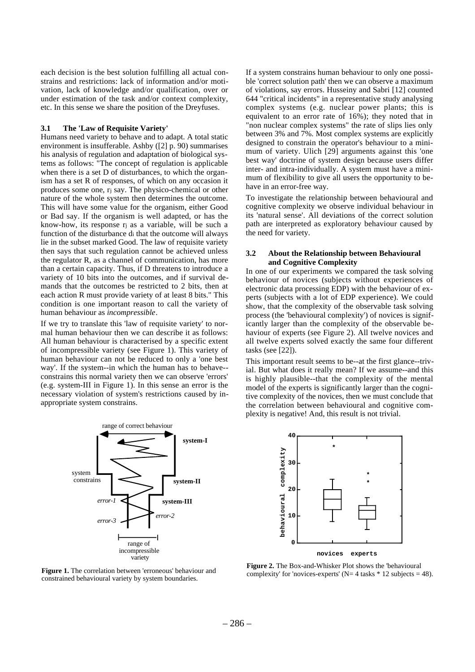each decision is the best solution fulfilling all actual constrains and restrictions: lack of information and/or motivation, lack of knowledge and/or qualification, over or under estimation of the task and/or context complexity, etc. In this sense we share the position of the Dreyfuses.

#### **3.1 The 'Law of Requisite Variety'**

Humans need variety to behave and to adapt. A total static environment is insufferable. Ashby ([2] p. 90) summarises his analysis of regulation and adaptation of biological systems as follows: "The concept of regulation is applicable when there is a set D of disturbances, to which the organism has a set R of responses, of which on any occasion it produces some one, rj say. The physico-chemical or other nature of the whole system then determines the outcome. This will have some value for the organism, either Good or Bad say. If the organism is well adapted, or has the know-how, its response rj as a variable, will be such a function of the disturbance di that the outcome will always lie in the subset marked Good. The law of requisite variety then says that such regulation cannot be achieved unless the regulator R, as a channel of communication, has more than a certain capacity. Thus, if D threatens to introduce a variety of 10 bits into the outcomes, and if survival demands that the outcomes be restricted to 2 bits, then at each action R must provide variety of at least 8 bits." This condition is one important reason to call the variety of human behaviour as *incompressible*.

If we try to translate this 'law of requisite variety' to normal human behaviour then we can describe it as follows: All human behaviour is characterised by a specific extent of incompressible variety (see Figure 1). This variety of human behaviour can not be reduced to only a 'one best way'. If the system--in which the human has to behave- constrains this normal variety then we can observe 'errors' (e.g. system-III in Figure 1). In this sense an error is the necessary violation of system's restrictions caused by inappropriate system constrains.



**Figure 1.** The correlation between 'erroneous' behaviour and constrained behavioural variety by system boundaries.

If a system constrains human behaviour to only one possible 'correct solution path' then we can observe a maximum of violations, say errors. Husseiny and Sabri [12] counted 644 "critical incidents" in a representative study analysing complex systems (e.g. nuclear power plants; this is equivalent to an error rate of 16%); they noted that in "non nuclear complex systems" the rate of slips lies only between 3% and 7%. Most complex systems are explicitly designed to constrain the operator's behaviour to a minimum of variety. Ulich [29] arguments against this 'one best way' doctrine of system design because users differ inter- and intra-individually. A system must have a minimum of flexibility to give all users the opportunity to behave in an error-free way.

To investigate the relationship between behavioural and cognitive complexity we observe individual behaviour in its 'natural sense'. All deviations of the correct solution path are interpreted as exploratory behaviour caused by the need for variety.

#### **3.2 About the Relationship between Behavioural and Cognitive Complexity**

In one of our experiments we compared the task solving behaviour of novices (subjects without experiences of electronic data processing EDP) with the behaviour of experts (subjects with a lot of EDP experience). We could show, that the complexity of the observable task solving process (the 'behavioural complexity') of novices is significantly larger than the complexity of the observable behaviour of experts (see Figure 2). All twelve novices and all twelve experts solved exactly the same four different tasks (see [22]).

This important result seems to be--at the first glance--trivial. But what does it really mean? If we assume--and this is highly plausible--that the complexity of the mental model of the experts is significantly larger than the cognitive complexity of the novices, then we must conclude that the correlation between behavioural and cognitive complexity is negative! And, this result is not trivial.



**Figure 2.** The Box-and-Whisker Plot shows the 'behavioural complexity' for 'novices-experts' ( $N= 4$  tasks  $* 12$  subjects = 48).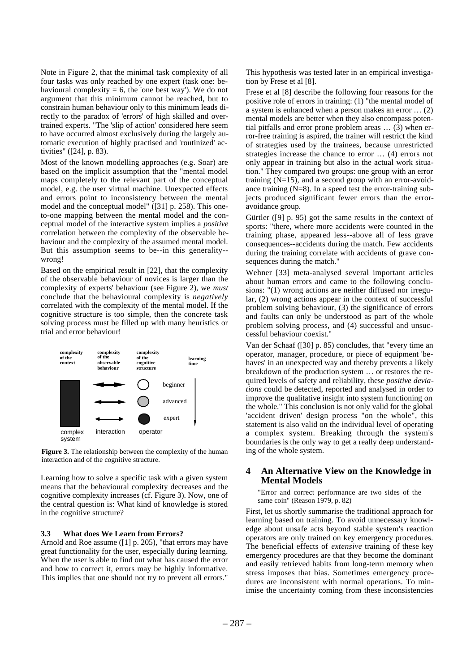Note in Figure 2, that the minimal task complexity of all four tasks was only reached by one expert (task one: behavioural complexity  $= 6$ , the 'one best way'). We do not argument that this minimum cannot be reached, but to constrain human behaviour only to this minimum leads directly to the paradox of 'errors' of high skilled and overtrained experts. "The 'slip of action' considered here seem to have occurred almost exclusively during the largely automatic execution of highly practised and 'routinized' activities" ([24], p. 83).

Most of the known modelling approaches (e.g. Soar) are based on the implicit assumption that the "mental model maps completely to the relevant part of the conceptual model, e.g. the user virtual machine. Unexpected effects and errors point to inconsistency between the mental model and the conceptual model" ([31] p. 258). This oneto-one mapping between the mental model and the conceptual model of the interactive system implies a *positive* correlation between the complexity of the observable behaviour and the complexity of the assumed mental model. But this assumption seems to be--in this generality- wrong!

Based on the empirical result in [22], that the complexity of the observable behaviour of novices is larger than the complexity of experts' behaviour (see Figure 2), we *must* conclude that the behavioural complexity is *negatively* correlated with the complexity of the mental model. If the cognitive structure is too simple, then the concrete task solving process must be filled up with many heuristics or trial and error behaviour!



**Figure 3.** The relationship between the complexity of the human interaction and of the cognitive structure.

Learning how to solve a specific task with a given system means that the behavioural complexity decreases and the cognitive complexity increases (cf. Figure 3). Now, one of the central question is: What kind of knowledge is stored in the cognitive structure?

#### **3.3 What does We Learn from Errors?**

Arnold and Roe assume ([1] p. 205), "that errors may have great functionality for the user, especially during learning. When the user is able to find out what has caused the error and how to correct it, errors may be highly informative. This implies that one should not try to prevent all errors."

This hypothesis was tested later in an empirical investigation by Frese et al [8].

Frese et al [8] describe the following four reasons for the positive role of errors in training: (1) "the mental model of a system is enhanced when a person makes an error … (2) mental models are better when they also encompass potential pitfalls and error prone problem areas … (3) when error-free training is aspired, the trainer will restrict the kind of strategies used by the trainees, because unrestricted strategies increase the chance to error … (4) errors not only appear in training but also in the actual work situation." They compared two groups: one group with an error training  $(N=15)$ , and a second group with an error-avoidance training (N=8). In a speed test the error-training subjects produced significant fewer errors than the erroravoidance group.

Gürtler ([9] p. 95) got the same results in the context of sports: "there, where more accidents were counted in the training phase, appeared less--above all of less grave consequences--accidents during the match. Few accidents during the training correlate with accidents of grave consequences during the match."

Wehner [33] meta-analysed several important articles about human errors and came to the following conclusions: "(1) wrong actions are neither diffused nor irregular, (2) wrong actions appear in the context of successful problem solving behaviour, (3) the significance of errors and faults can only be understood as part of the whole problem solving process, and (4) successful and unsuccessful behaviour coexist."

Van der Schaaf ([30] p. 85) concludes, that "every time an operator, manager, procedure, or piece of equipment 'behaves' in an unexpected way and thereby prevents a likely breakdown of the production system … or restores the required levels of safety and reliability, these *positive deviations* could be detected, reported and analysed in order to improve the qualitative insight into system functioning on the whole." This conclusion is not only valid for the global 'accident driven' design process "on the whole", this statement is also valid on the individual level of operating a complex system. Breaking through the system's boundaries is the only way to get a really deep understanding of the whole system.

#### **4 An Alternative View on the Knowledge in Mental Models**

"Error and correct performance are two sides of the same coin" (Reason 1979, p. 82)

First, let us shortly summarise the traditional approach for learning based on training. To avoid unnecessary knowledge about unsafe acts beyond stable system's reaction operators are only trained on key emergency procedures. The beneficial effects of *extensive* training of these key emergency procedures are that they become the dominant and easily retrieved habits from long-term memory when stress imposes that bias. Sometimes emergency procedures are inconsistent with normal operations. To minimise the uncertainty coming from these inconsistencies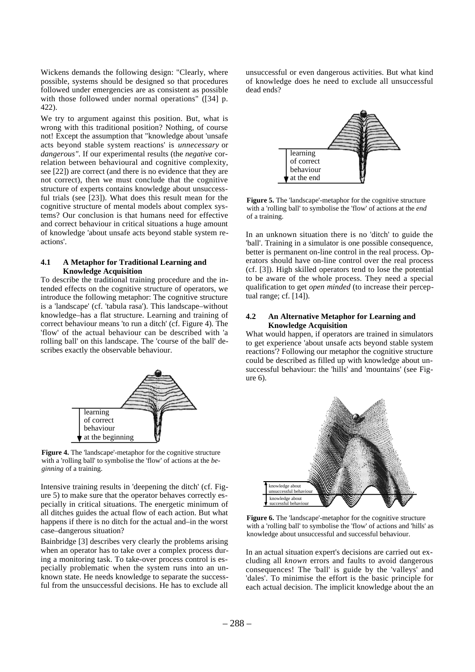Wickens demands the following design: "Clearly, where possible, systems should be designed so that procedures followed under emergencies are as consistent as possible with those followed under normal operations" ([34] p. 422).

We try to argument against this position. But, what is wrong with this traditional position? Nothing, of course not! Except the assumption that "knowledge about 'unsafe acts beyond stable system reactions' is *unnecessary* or *dangerous"*. If our experimental results (the *negative* correlation between behavioural and cognitive complexity, see [22]) are correct (and there is no evidence that they are not correct), then we must conclude that the cognitive structure of experts contains knowledge about unsuccessful trials (see [23]). What does this result mean for the cognitive structure of mental models about complex systems? Our conclusion is that humans need for effective and correct behaviour in critical situations a huge amount of knowledge 'about unsafe acts beyond stable system reactions'.

#### **4.1 A Metaphor for Traditional Learning and Knowledge Acquisition**

To describe the traditional training procedure and the intended effects on the cognitive structure of operators, we introduce the following metaphor: The cognitive structure is a 'landscape' (cf. 'tabula rasa'). This landscape–without knowledge–has a flat structure. Learning and training of correct behaviour means 'to run a ditch' (cf. Figure 4). The 'flow' of the actual behaviour can be described with 'a rolling ball' on this landscape. The 'course of the ball' describes exactly the observable behaviour.



**Figure 4.** The 'landscape'-metaphor for the cognitive structure with a 'rolling ball' to symbolise the 'flow' of actions at the *beginning* of a training.

Intensive training results in 'deepening the ditch' (cf. Figure 5) to make sure that the operator behaves correctly especially in critical situations. The energetic minimum of all ditches guides the actual flow of each action. But what happens if there is no ditch for the actual and–in the worst case–dangerous situation?

Bainbridge [3] describes very clearly the problems arising when an operator has to take over a complex process during a monitoring task. To take-over process control is especially problematic when the system runs into an unknown state. He needs knowledge to separate the successful from the unsuccessful decisions. He has to exclude all

unsuccessful or even dangerous activities. But what kind of knowledge does he need to exclude all unsuccessful dead ends?



**Figure 5.** The 'landscape'-metaphor for the cognitive structure with a 'rolling ball' to symbolise the 'flow' of actions at the *end* of a training.

In an unknown situation there is no 'ditch' to guide the 'ball'. Training in a simulator is one possible consequence, better is permanent on-line control in the real process. Operators should have on-line control over the real process (cf. [3]). High skilled operators tend to lose the potential to be aware of the whole process. They need a special qualification to get *open minded* (to increase their perceptual range; cf. [14]).

#### **4.2 An Alternative Metaphor for Learning and Knowledge Acquisition**

What would happen, if operators are trained in simulators to get experience 'about unsafe acts beyond stable system reactions'? Following our metaphor the cognitive structure could be described as filled up with knowledge about unsuccessful behaviour: the 'hills' and 'mountains' (see Figure 6).



**Figure 6.** The 'landscape'-metaphor for the cognitive structure with a 'rolling ball' to symbolise the 'flow' of actions and 'hills' as knowledge about unsuccessful and successful behaviour.

In an actual situation expert's decisions are carried out excluding all *known* errors and faults to avoid dangerous consequences! The 'ball' is guide by the 'valleys' and 'dales'. To minimise the effort is the basic principle for each actual decision. The implicit knowledge about the an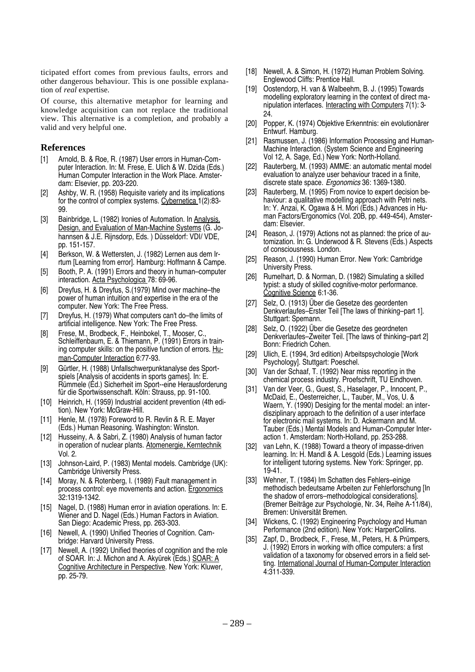ticipated effort comes from previous faults, errors and other dangerous behaviour. This is one possible explanation of *real* expertise.

Of course, this alternative metaphor for learning and knowledge acquisition can not replace the traditional view. This alternative is a completion, and probably a valid and very helpful one.

#### **References**

- [1] Arnold, B. & Roe, R. (1987) User errors in Human-Computer Interaction. In: M. Frese, E. Ulich & W. Dzida (Eds.) Human Computer Interaction in the Work Place. Amsterdam: Elsevier, pp. 203-220.
- [2] Ashby, W. R. (1958) Requisite variety and its implications for the control of complex systems. Cybernetica 1(2):83-99.
- [3] Bainbridge, L. (1982) Ironies of Automation. In Analysis. Design, and Evaluation of Man-Machine Systems (G. Johannsen & J.E. Rijnsdorp, Eds. ) Düsseldorf: VDI/ VDE, pp. 151-157.
- [4] Berkson, W. & Wettersten, J. (1982) Lernen aus dem Irrtum [Learning from error]. Hamburg: Hoffmann & Campe.
- [5] Booth, P. A. (1991) Errors and theory in human–computer interaction. Acta Psychologica 78: 69-96.
- [6] Dreyfus, H. & Dreyfus, S.(1979) Mind over machine–the power of human intuition and expertise in the era of the computer. New York: The Free Press.
- [7] Dreyfus, H. (1979) What computers can't do–the limits of artificial intelligence. New York: The Free Press.
- [8] Frese, M., Brodbeck, F., Heinbokel, T., Mooser, C., Schleiffenbaum, E. & Thiemann, P. (1991) Errors in training computer skills: on the positive function of errors. Human-Computer Interaction 6:77-93.
- [9] Gürtler, H. (1988) Unfallschwerpunktanalyse des Sportspiels [Analysis of accidents in sports games]. In: E. Rümmele (Ed.) Sicherheit im Sport--eine Herausforderung für die Sportwissenschaft. Köln: Strauss, pp. 91-100.
- [10] Heinrich, H. (1959) Industrial accident prevention (4th edition). New York: McGraw-Hill.
- [11] Henle, M. (1978) Foreword to R. Revlin & R. E. Mayer (Eds.) Human Reasoning. Washington: Winston.
- [12] Husseiny, A. & Sabri, Z. (1980) Analysis of human factor in operation of nuclear plants. Atomenergie, Kerntechnik Vol. 2.
- [13] Johnson-Laird, P. (1983) Mental models. Cambridge (UK): Cambridge University Press.
- [14] Moray, N. & Rotenberg, I. (1989) Fault management in process control: eye movements and action. Ergonomics 32:1319-1342.
- [15] Nagel, D. (1988) Human error in aviation operations. In: E. Wiener and D. Nagel (Eds.) Human Factors in Aviation. San Diego: Academic Press, pp. 263-303.
- [16] Newell, A. (1990) Unified Theories of Cognition. Cambridge: Harvard University Press.
- [17] Newell, A. (1992) Unified theories of cognition and the role of SOAR. In: J. Michon and A. Akyürek (Eds.) SOAR: A Cognitive Architecture in Perspective. New York: Kluwer, pp. 25-79.
- [18] Newell, A. & Simon, H. (1972) Human Problem Solving. Englewood Cliffs: Prentice Hall.
- [19] Oostendorp, H. van & Walbeehm, B. J. (1995) Towards modelling exploratory learning in the context of direct manipulation interfaces. Interacting with Computers 7(1): 3- 24.
- [20] Popper, K. (1974) Objektive Erkenntnis: ein evolutionärer Entwurf. Hamburg.
- [21] Rasmussen, J. (1986) Information Processing and Human-Machine Interaction. (System Science and Engineering Vol 12, A. Sage, Ed.) New York: North-Holland.
- [22] Rauterberg, M. (1993) AMME: an automatic mental model evaluation to analyze user behaviour traced in a finite, discrete state space. Ergonomics 36: 1369-1380.
- [23] Rauterberg, M. (1995) From novice to expert decision behaviour: a qualitative modelling approach with Petri nets. In: Y. Anzai, K. Ogawa & H. Mori (Eds.) Advances in Human Factors/Ergonomics (Vol. 20B, pp. 449-454), Amsterdam: Elsevier.
- [24] Reason, J. (1979) Actions not as planned: the price of automization. In: G. Underwood & R. Stevens (Eds.) Aspects of consciousness. London.
- [25] Reason, J. (1990) Human Error. New York: Cambridge University Press.
- [26] Rumelhart, D. & Norman, D. (1982) Simulating a skilled typist: a study of skilled cognitive-motor performance. Cognitive Science 6:1-36.
- [27] Selz, O. (1913) Über die Gesetze des geordenten Denkverlaufes–Erster Teil [The laws of thinking–part 1]. Stuttgart: Spemann.
- [28] Selz, O. (1922) Über die Gesetze des geordneten Denkverlaufes–Zweiter Teil. [The laws of thinking–part 2] Bonn: Friedrich Cohen.
- [29] Ulich, E. (1994, 3rd edition) Arbeitspsychologie [Work Psychology]. Stuttgart: Poeschel.
- [30] Van der Schaaf, T. (1992) Near miss reporting in the chemical process industry. Proefschrift, TU Eindhoven.
- [31] Van der Veer, G., Guest, S., Haselager, P., Innocent, P., McDaid, E., Oesterreicher, L., Tauber, M., Vos, U. & Waern, Y. (1990) Desiging for the mental model: an interdisziplinary approach to the definition of a user interface for electronic mail systems. In: D. Ackermann and M. Tauber (Eds.) Mental Models and Human-Computer Interaction 1. Amsterdam: North-Holland, pp. 253-288.
- [32] van Lehn, K. (1988) Toward a theory of impasse-driven learning. In: H. Mandl & A. Lesgold (Eds.) Learning issues for intelligent tutoring systems. New York: Springer, pp. 19-41.
- [33] Wehner, T. (1984) Im Schatten des Fehlers–einige methodisch bedeutsame Arbeiten zur Fehlerforschung [In the shadow of errors–methodological considerations]. (Bremer Beiträge zur Psychologie, Nr. 34, Reihe A-11/84), Bremen: Universität Bremen.
- [34] Wickens, C. (1992) Engineering Psychology and Human Performance (2nd edition). New York: HarperCollins.
- [35] Zapf, D., Brodbeck, F., Frese, M., Peters, H. & Prümpers, J. (1992) Errors in working with office computers: a first validation of a taxonomy for observed errors in a field setting. International Journal of Human-Computer Interaction 4:311-339.